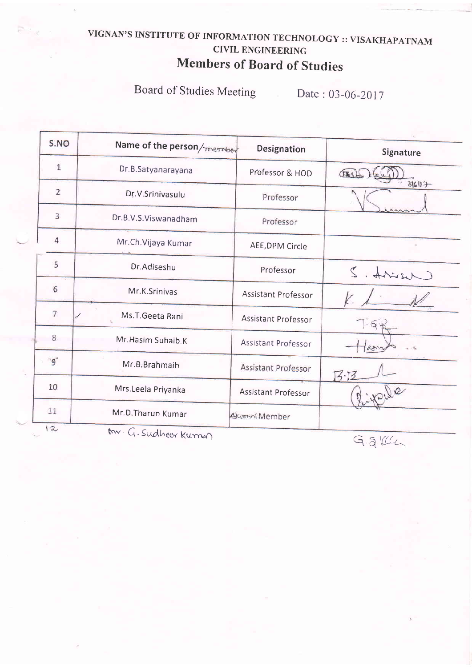# VIGNAN'S INSTITUTE OF INFORMATION TECHNOLOGY :: VISAKHAPATNAM CIVIL ENGINEERING Members of Board of Studies

Board of Studies Meeting Date : 03-06-2017

| S.NO           | Name of the person/member | Designation                | Signature       |  |
|----------------|---------------------------|----------------------------|-----------------|--|
| $1\,$          | Dr.B.Satyanarayana        | Professor & HOD            | CESS            |  |
| $\overline{2}$ | Dr.V.Srinivasulu          | Professor                  | 316117          |  |
| 3              | Dr.B.V.S.Viswanadham      | Professor                  |                 |  |
| $\overline{4}$ | Mr.Ch.Vijaya Kumar        | AEE, DPM Circle            |                 |  |
| 5              | Dr.Adiseshu               | Professor                  | went to         |  |
| 6              | Mr.K.Srinivas             | <b>Assistant Professor</b> |                 |  |
| 7              | Ms.T.Geeta Rani           | <b>Assistant Professor</b> | $\cdot 6$       |  |
| 8              | Mr. Hasim Suhaib. K       | Assistant Professor        | $a_{d1}$        |  |
| $g^*$          | Mr.B.Brahmaih             | Assistant Professor        | 7.77            |  |
| 10             | Mrs.Leela Priyanka        | Assistant Professor        |                 |  |
| 11             | Mr.D.Tharun Kumar         | Alumni Member              |                 |  |
| 12             | m. G. Sudheer Kurnen      |                            | $\Gamma = 1/11$ |  |

 $G$   $5$   $K$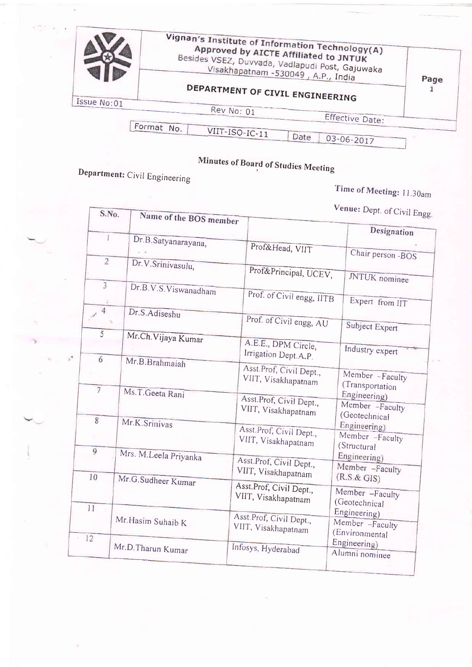|             | Vignan's Institute of Information Technology(A)<br>Approved by AICTE Affiliated to JNTUK<br>Besides VSEZ, Duvvada, Vadlapudi Post, Gajuwaka<br>Visakhapatnam - 530049, A.P., India | Page |
|-------------|------------------------------------------------------------------------------------------------------------------------------------------------------------------------------------|------|
|             | DEPARTMENT OF CIVIL ENGINEERING                                                                                                                                                    |      |
| Issue No:01 | Rev No: 01<br>Effective Date:                                                                                                                                                      |      |
|             | Format No.<br>VIIT-ISO-IC-11<br>Date<br>03-06-2017                                                                                                                                 |      |

# Minutes of Board of Studies Meeting

Department: Civil Engineering

 $\bar{z}$ 

all the state

**Burney** 

Time of Meeting: 11.30am

Venue: Dept. of Civil Engg.

| S.No.                           | Name of the BOS member |                                                | <b>venue:</b> Dept. of Civil Engg                  |
|---------------------------------|------------------------|------------------------------------------------|----------------------------------------------------|
| T                               |                        |                                                | Designation                                        |
|                                 | Dr.B.Satyanarayana,    | Prof&Head, VIIT                                | Chair person -BOS                                  |
| $\overline{2}$                  | Dr.V.Srinivasulu,      | Prof&Principal, UCEV,                          |                                                    |
| $\overline{3}$                  | Dr.B.V.S.Viswanadham   | Prof. of Civil engg, HTB                       | JNTUK nominee<br>Expert from IIT                   |
| $\overline{4}$<br>$\mathcal{A}$ | Dr.S.Adiseshu          | Prof. of Civil engg, AU                        | Subject Expert                                     |
| 5                               | Mr.Ch.Vijaya Kumar     | A.E.E., DPM Circle,<br>Irrigation Dept.A.P.    | Industry expert                                    |
| 6                               | Mr.B.Brahmaiah         | Asst.Prof, Civil Dept.,<br>VIIT, Visakhapatnam | Member -Faculty                                    |
| $\overline{7}$                  | Ms.T.Geeta Rani        | Asst.Prof, Civil Dept.,<br>VIIT, Visakhapatnam | (Transportation<br>Engineering)<br>Member -Faculty |
| $\overline{8}$                  | Mr.K.Srinivas          | Asst.Prof, Civil Dept.,<br>VIIT, Visakhapatnam | (Geotechnical<br>Engineering)<br>Member -Faculty   |
| 9                               | Mrs. M.Leela Priyanka  | Asst.Prof, Civil Dept.,<br>VIIT, Visakhapatnam | (Structural<br>Engineering)<br>Member -Faculty     |
| 10                              | Mr.G.Sudheer Kumar     | Asst.Prof, Civil Dept.,<br>VIIT, Visakhapatnam | (R.S. & GIS)<br>Member -Faculty                    |
| 11                              | Mr. Hasim Suhaib K     | Asst.Prof, Civil Dept.,<br>VIIT, Visakhapatnam | (Geotechnical<br>Engineering)<br>Member -Faculty   |
| 12                              | Mr.D.Tharun Kumar      | Infosys, Hyderabad                             | (Environmental<br>Engineering)<br>Alumni nominee   |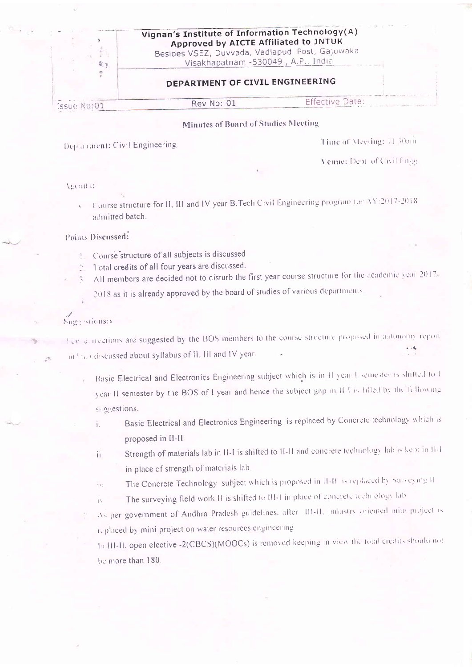| 要为          | Vignan's Institute of Information Technology(A)<br>Approved by AICTE Affiliated to JNTUK<br>Besides VSEZ, Duvvada, Vadlapudi Post, Gajuwaka<br>Visakhapatnam - 530049, A.P., India |                        |  |
|-------------|------------------------------------------------------------------------------------------------------------------------------------------------------------------------------------|------------------------|--|
| 赤           | DEPARTMENT OF CIVIL ENGINEERING                                                                                                                                                    |                        |  |
| Issue No:01 | Rev No: 01                                                                                                                                                                         | <b>Effective Date:</b> |  |
|             | <b>Minutes of Board of Studies Meeting</b>                                                                                                                                         |                        |  |

### Department: Civil Engineering

Time of Meeting: 11.30am

Venue: Dept. of Civil Engg.

#### **Agenda:**

Course structure for H, III and IV year B.Tech Civil Engineering program for AY:2017-2018 admitted batch.

#### Points Discussed:

- Course structure of all subjects is discussed
- Total credits of all four years are discussed.
- All members are decided not to disturb the first year course structure for the academic year 2017- $\mathbb{R}$ 
	- 2018 as it is already approved by the board of studies of various departments.

## Sugarstions:

Fey entrections are suggested by the BOS members to the course structure proposed in autonomy report in I to Cdiscussed about syllabus of II. III and IV year.

- Basic Electrical and Electronics Engineering subject which is in H year. I semester is shifted to I year II semester by the BOS of I year and hence the subject gap in II-I is filled by the following suggestions.
	- Basic Electrical and Electronics Engineering is replaced by Concrete technology which is ì. proposed in II-II
	- Strength of materials lab in II-I is shifted to II-II and concrete technology lab is kept in II-1 ii. in place of strength of materials lab-
	- The Concrete Technology subject which is proposed in II-H is replaced by Surveying II Ťч
	- The surveying field work H is shifted to III-1 in place of concrete technology lab  $\mathbf{i}$
	- As per government of Andhra Pradesh guidelines, after 111-11, industry oriented mini project is replaced by mini project on water resources engineering

In III-II, open elective -2(CBCS)(MOOCs) is removed keeping in view the total credits should not be more than 180.